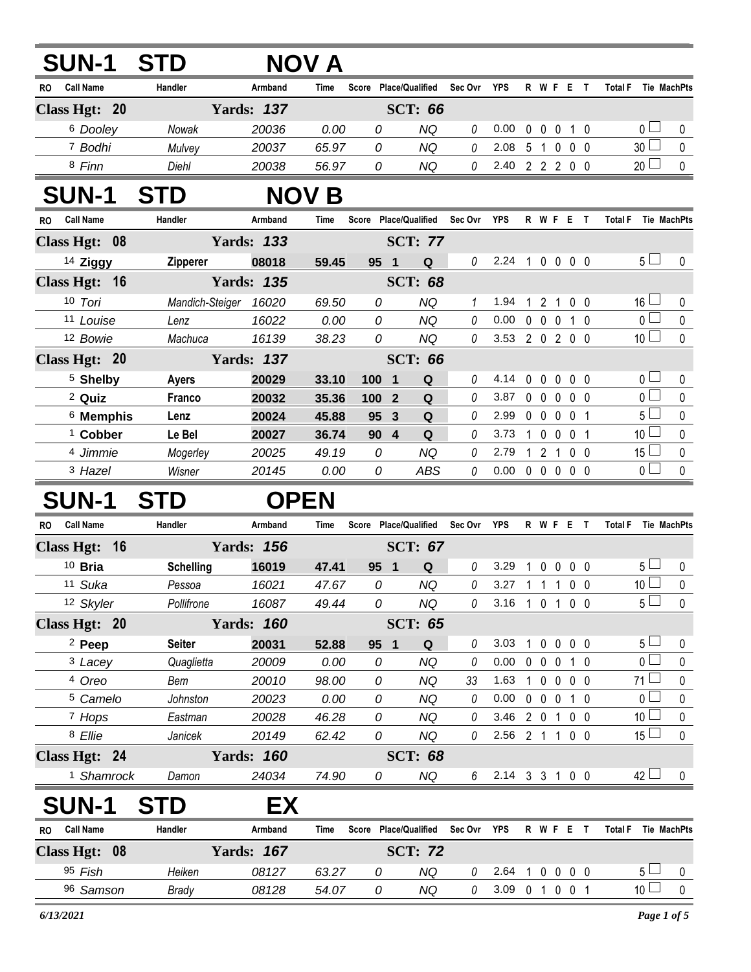| <b>SUN-1</b>            | <b>STD</b>       |                   | NOV A        |                 |                              |             |                |             |                               |                          |                |                               |              |
|-------------------------|------------------|-------------------|--------------|-----------------|------------------------------|-------------|----------------|-------------|-------------------------------|--------------------------|----------------|-------------------------------|--------------|
| <b>Call Name</b><br>RO  | Handler          | Armband           | Time         |                 | Score Place/Qualified        | Sec Ovr     | YPS            |             | R W F E T                     |                          |                | <b>Total F</b><br>Tie MachPts |              |
| Class Hgt: 20           |                  | <b>Yards: 137</b> |              |                 | <b>SCT: 66</b>               |             |                |             |                               |                          |                |                               |              |
| 6 Dooley                | Nowak            | 20036             | 0.00         | 0               | <b>NQ</b>                    | 0           | 0.00           | 0           | $\mathbf 0$<br>$\mathbf 0$    |                          | $1\quad0$      | 0 <sub>1</sub>                | 0            |
| 7 Bodhi                 | Mulvey           | 20037             | 65.97        | 0               | <b>NQ</b>                    | 0           | 2.08           | 5           | $\overline{1}$<br>$\mathbf 0$ |                          | $0\quad 0$     | 30 <sup>1</sup>               | 0            |
| 8 Finn                  | Diehl            | 20038             | 56.97        | 0               | NQ                           | 0           | 2.40           |             | 2 2 2 0 0                     |                          |                | 20 <sup>1</sup>               | $\pmb{0}$    |
| <b>SUN-1</b>            | <b>STD</b>       |                   | <b>NOV B</b> |                 |                              |             |                |             |                               |                          |                |                               |              |
| <b>Call Name</b><br>RO. | Handler          | Armband           | Time         |                 | Score Place/Qualified        | Sec Ovr     | YPS            |             | R W F E T                     |                          |                | <b>Total F</b><br>Tie MachPts |              |
| Class Hgt: 08           |                  | <b>Yards: 133</b> |              |                 | <b>SCT: 77</b>               |             |                |             |                               |                          |                |                               |              |
| 14 Ziggy                | Zipperer         | 08018             | 59.45        | 95 1            | Q                            | 0           | 2.24 1 0 0 0 0 |             |                               |                          |                | 5 <sub>1</sub>                | 0            |
| Class Hgt: 16           |                  | <b>Yards: 135</b> |              |                 | <b>SCT: 68</b>               |             |                |             |                               |                          |                |                               |              |
| 10 Tori                 | Mandich-Steiger  | 16020             | 69.50        | 0               | <b>NQ</b>                    | 1           | 1.94           | 1           | 2 <sub>1</sub>                |                          | $0\quad 0$     | $16 \Box$                     | 0            |
| 11 Louise               | Lenz             | 16022             | 0.00         | 0               | <b>NQ</b>                    | 0           | 0.00           | $0\quad 0$  | $\mathbf 0$                   |                          | 1 0            | $\overline{0}$                | 0            |
| 12 Bowie                | Machuca          | 16139             | 38.23        | 0               | <b>NQ</b>                    | 0           | 3.53           |             | 2 0 2 0 0                     |                          |                | 10 <sup>1</sup>               | 0            |
| Class Hgt: 20           |                  | <b>Yards: 137</b> |              |                 | <b>SCT: 66</b>               |             |                |             |                               |                          |                |                               |              |
| <sup>5</sup> Shelby     | <b>Ayers</b>     | 20029             | 33.10        | 100             | Q<br>$\overline{\mathbf{1}}$ | 0           | 4.14           | 0           | $\mathbf 0$                   | 0                        | $0\quad 0$     | 0 <sub>1</sub>                | 0            |
| <sup>2</sup> Quiz       | Franco           | 20032             | 35.36        | 100 2           | ${\bf Q}$                    | 0           | 3.87           | $\mathbf 0$ | $\overline{0}$<br>$\mathbf 0$ |                          | 0 <sub>0</sub> | $\overline{0}$                | $\mathbf 0$  |
| <sup>6</sup> Memphis    | Lenz             | 20024             | 45.88        | 95              | $\mathbf{3}$<br>Q            | 0           | 2.99           | $0\quad 0$  | $\mathbf 0$                   |                          | 0 <sub>1</sub> | 5 <sub>1</sub>                | $\mathbf 0$  |
| <sup>1</sup> Cobber     | Le Bel           | 20027             | 36.74        | 90 4            | ${\bf Q}$                    | 0           | 3.73           | 1.          | $\mathbf 0$<br>$\mathbf 0$    |                          | 0 <sub>1</sub> | 10 <sup>2</sup>               | $\mathbf 0$  |
| 4 Jimmie                | Mogerley         | 20025             | 49.19        | 0               | <b>NQ</b>                    | 0           | 2.79           |             | $1\quad2$<br>$\overline{1}$   |                          | 0 <sub>0</sub> | $15 \Box$                     | $\mathbf 0$  |
| 3 Hazel                 | Wisner           | 20145             | 0.00         | 0               | <b>ABS</b>                   | 0           | 0.00           |             | 00000                         |                          |                | $\overline{0}$                | $\mathbf 0$  |
| <b>SUN-1</b>            | <b>STD</b>       | <b>OPEN</b>       |              |                 |                              |             |                |             |                               |                          |                |                               |              |
| <b>Call Name</b><br>RO. | Handler          | Armband           | Time         |                 | Score Place/Qualified        | Sec Ovr YPS |                |             | R W F E T                     |                          |                | Total F Tie MachPts           |              |
| Class Hgt: 16           |                  | <b>Yards: 156</b> |              |                 | <b>SCT: 67</b>               |             |                |             |                               |                          |                |                               |              |
| $10$ Bria               | <b>Schelling</b> | 16019             | 47.41        | 95 <sub>1</sub> | Q                            | 0           | 3.29           |             | 0                             | $\mathbf{0}$<br>$\bf{0}$ | 0              | $5 -$                         | 0            |
| 11 Suka                 | Pessoa           | 16021             | 47.67        | 0               | <b>NQ</b>                    | 0           | 3.27           |             | $1 \t1 \t1$                   |                          | 0 <sub>0</sub> | 10 <sup>2</sup>               | $\mathbf 0$  |
| 12 Skyler               | Pollifrone       | 16087             | 49.44        | 0               | <b>NQ</b>                    | 0           | 3.16 1 0 1 0 0 |             |                               |                          |                | $5\Box$                       | 0            |
| Class Hgt: 20           |                  | <b>Yards: 160</b> |              |                 | <b>SCT: 65</b>               |             |                |             |                               |                          |                |                               |              |
| <sup>2</sup> Peep       | <b>Seiter</b>    | 20031             | 52.88        | 95 1            | ${\bf Q}$                    | 0           | 3.03           | $1\quad 0$  |                               | $0\quad 0\quad 0$        |                | $5\perp$                      | 0            |
| <sup>3</sup> Lacey      | Quaglietta       | 20009             | 0.00         | 0               | <b>NQ</b>                    | 0           | 0.00           |             | $0\quad 0\quad 0$             |                          | 1 <sub>0</sub> | $\overline{0}$                | $\pmb{0}$    |
| 4 Oreo                  | Bem              | 20010             | 98.00        | 0               | <b>NQ</b>                    | 33          | 1.63           | $1\quad 0$  |                               | $0\quad 0\quad 0$        |                | $71 \Box$                     | 0            |
| <sup>5</sup> Camelo     | Johnston         | 20023             | 0.00         | 0               | <b>NQ</b>                    | 0           | 0.00           |             | $0\quad 0\quad 0$             |                          | $1\quad0$      | $\overline{0}$                | $\pmb{0}$    |
| 7 Hops                  | Eastman          | 20028             | 46.28        | 0               | NQ                           | 0           | 3.46           |             | 2 0 1 0 0                     |                          |                | 10 <sup>1</sup>               | 0            |
| 8 Ellie                 | Janicek          | 20149             | 62.42        | 0               | <b>NQ</b>                    | 0           | 2.56 2 1 1 0 0 |             |                               |                          |                | 15 <sup>1</sup>               | $\pmb{0}$    |
| Class Hgt: 24           |                  | <b>Yards: 160</b> |              |                 | <b>SCT: 68</b>               |             |                |             |                               |                          |                |                               |              |
| <sup>1</sup> Shamrock   | Damon            | 24034             | 74.90        | 0               | <b>NQ</b>                    | 6           | 2.14 3 3 1 0 0 |             |                               |                          |                | $42 \Box$                     | $\mathbf{0}$ |
| <b>SUN-1</b>            | <b>STD</b>       | EX                |              |                 |                              |             |                |             |                               |                          |                |                               |              |
| RO Call Name            | Handler          | Armband           | Time         |                 | Score Place/Qualified        | Sec Ovr YPS |                |             | R W F E T                     |                          |                | Total F Tie MachPts           |              |
| Class Hgt: 08           |                  | <b>Yards: 167</b> |              |                 | <b>SCT: 72</b>               |             |                |             |                               |                          |                |                               |              |
| 95 Fish                 | Heiken           | 08127             | 63.27        | 0               | <b>NQ</b>                    | 0           | 2.64           | $1\quad0$   |                               | $0\quad 0\quad 0$        |                | 5 <sub>1</sub>                | 0            |
| 96 Samson               | Brady            | 08128             | 54.07        | 0               | NQ                           | 0           | 3.09 0 1 0 0 1 |             |                               |                          |                | 10 <sup>1</sup>               | $\pmb{0}$    |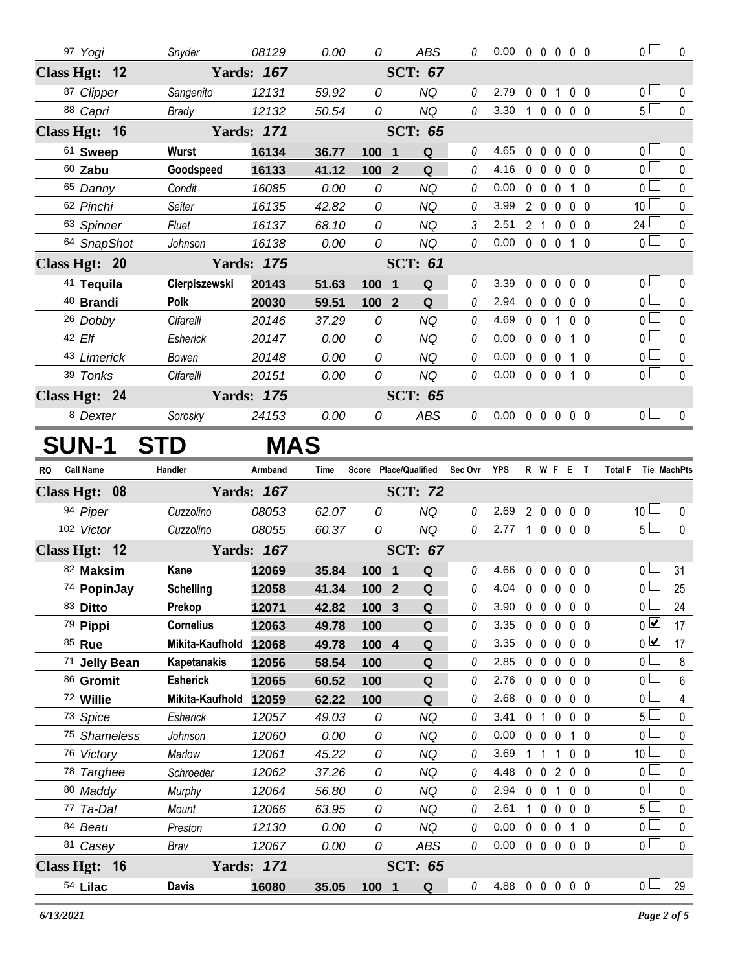| 97 Yogi       |            | Snyder            | 08129      | 0.00        | 0                | <b>ABS</b>                             | 0        | $0.00 \t0 \t0 \t0 \t0 \t0$ |                   |             |                   | 0 <sub>0</sub>                | $\pmb{0}$    |
|---------------|------------|-------------------|------------|-------------|------------------|----------------------------------------|----------|----------------------------|-------------------|-------------|-------------------|-------------------------------|--------------|
| Class Hgt: 12 |            | <b>Yards: 167</b> |            |             |                  | <b>SCT: 67</b>                         |          |                            |                   |             |                   |                               |              |
| 87 Clipper    |            | Sangenito         | 12131      | 59.92       | 0                | <b>NQ</b>                              | 0        | 2.79                       |                   | 0 0 1 0 0   |                   | 0 <sub>0</sub>                | 0            |
| 88 Capri      |            | <b>Brady</b>      | 12132      | 50.54       | 0                | <b>NQ</b>                              | $\theta$ | 3.30                       |                   | 1 0 0 0 0   |                   | $5\Box$                       | $\mathbf{0}$ |
| Class Hgt: 16 |            | <b>Yards: 171</b> |            |             |                  | <b>SCT: 65</b>                         |          |                            |                   |             |                   |                               |              |
| 61 Sweep      |            | <b>Wurst</b>      | 16134      | 36.77       | 100 1            | $\mathbf Q$                            | 0        | 4.65                       |                   | 00000       |                   | 0 <sup>1</sup>                | $\mathbf 0$  |
| $60$ Zabu     |            | Goodspeed         | 16133      | 41.12       | 100              | $\overline{\mathbf{2}}$<br>$\mathbf Q$ | $\theta$ | 4.16                       | $0\quad 0$        | $\mathbf 0$ | 0 <sub>0</sub>    | $\overline{0}$                | $\Omega$     |
| 65 Danny      |            | Condit            | 16085      | 0.00        | $\mathcal O$     | <b>NQ</b>                              | 0        | 0.00                       | $0\quad 0$        | $\mathbf 0$ | $1\quad0$         | 0 <sub>0</sub>                | $\pmb{0}$    |
| 62 Pinchi     |            | Seiter            | 16135      | 42.82       | 0                | <b>NQ</b>                              | 0        | 3.99                       | $2\quad 0$        | $\mathbf 0$ | $0\quad 0$        | 10 <sup>1</sup>               | $\mathbf 0$  |
| 63 Spinner    |            | Fluet             | 16137      | 68.10       | 0                | <b>NQ</b>                              | 3        | 2.51                       | 2 <sub>1</sub>    | $\mathbf 0$ | 0 <sub>0</sub>    | 24                            | 0            |
| 64 SnapShot   |            | Johnson           | 16138      | 0.00        | 0                | <b>NQ</b>                              | 0        | 0.00                       |                   | 0 0 0 1 0   |                   | $\overline{0}$                | $\pmb{0}$    |
| Class Hgt: 20 |            | <b>Yards: 175</b> |            |             |                  | <b>SCT: 61</b>                         |          |                            |                   |             |                   |                               |              |
| 41 Tequila    |            | Cierpiszewski     | 20143      | 51.63       | 100 1            | $\mathbf Q$                            | 0        | 3.39                       | $0\quad 0$        | $\mathbf 0$ | $0\quad 0$        | 0 <sub>0</sub>                | 0            |
| 40 Brandi     |            | Polk              | 20030      | 59.51       | 100 <sub>2</sub> | Q                                      | 0        | 2.94                       | $0\quad 0$        | $\mathbf 0$ | 0 <sub>0</sub>    | $\overline{0}$ $\Box$         | $\mathbf 0$  |
| 26 Dobby      |            | Cifarelli         | 20146      | 37.29       | 0                | <b>NQ</b>                              | 0        | 4.69                       |                   | 0 0 1 0 0   |                   | $\overline{0}$                | $\mathbf 0$  |
| 42 Elf        |            | Esherick          | 20147      | 0.00        | 0                | <b>NQ</b>                              | 0        | 0.00                       | $0\quad 0\quad 0$ |             | 1 0               | $\overline{0}$                | $\mathbf 0$  |
| 43 Limerick   |            | Bowen             | 20148      | 0.00        | $\mathcal{O}$    | <b>NQ</b>                              | 0        | 0.00                       | $0\quad 0\quad 0$ |             | $1\quad$ $\Omega$ | 0 <sub>0</sub>                | $\mathbf 0$  |
| 39 Tonks      |            | Cifarelli         | 20151      | 0.00        | 0                | <b>NQ</b>                              | 0        | 0.00                       |                   | 0 0 0 1 0   |                   | $\overline{0}$                | $\mathbf{0}$ |
| Class Hgt: 24 |            | <b>Yards: 175</b> |            |             |                  | <b>SCT: 65</b>                         |          |                            |                   |             |                   |                               |              |
| 8 Dexter      |            | Sorosky           | 24153      | 0.00        | 0                | ABS                                    | 0        | $0.00 \t0 \t0 \t0 \t0 \t0$ |                   |             |                   | 0 <sup>1</sup>                | $\mathbf 0$  |
| <b>SUN-1</b>  | <b>STD</b> |                   | <b>MAS</b> |             |                  |                                        |          |                            |                   |             |                   |                               |              |
|               |            |                   |            |             |                  |                                        |          |                            |                   |             |                   |                               |              |
| RO Call Name  | Handler    |                   | Armband    | <b>Time</b> |                  | Score Place/Qualified                  | Sec Ovr  | <b>YPS</b>                 |                   | R W F E T   |                   | <b>Total F</b><br>Tie MachPts |              |
| Class Hgt: 08 |            | <b>Yards: 167</b> |            |             |                  | <b>SCT: 72</b>                         |          |                            |                   |             |                   |                               |              |
| 94 Piper      |            | Cuzzolino         | 08053      | 62.07       | 0                | <b>NQ</b>                              | 0        | 2.69                       |                   | 2 0 0 0 0   |                   | 10 <sup>1</sup>               | $\mathbf 0$  |
| 102 Victor    |            | Cuzzolino         | 08055      | 60.37       | 0                | <b>NQ</b>                              | 0        | 2.77                       |                   | 10000       |                   | 5 <sub>1</sub>                | $\mathbf{0}$ |
| Class Hgt: 12 |            | <b>Yards: 167</b> |            |             |                  | <b>SCT: 67</b>                         |          |                            |                   |             |                   |                               |              |
| 82 Maksim     |            | Kane              | 12069      | 35.84       | 100 1            | Q                                      | 0        | 4.66                       |                   | 0 0 0 0 0   |                   | $\overline{0}$ $\Box$         | 31           |
| 74 PopinJay   |            | <b>Schelling</b>  | 12058      | 41.34       | 100              | Q<br>$\overline{2}$                    | 0        | 4.04                       | $0\quad 0$        | $\mathbf 0$ | 0 <sub>0</sub>    | 0 <sup>1</sup>                | 25           |
| 83 Ditto      |            | Prekop            | 12071      | 42.82       | 100 3            | $\mathbf Q$                            | 0        | 3.90                       | $0\quad 0\quad 0$ |             | $0\quad 0$        | $\overline{0}$ $\Box$         | 24           |
| 79 Pippi      |            | <b>Cornelius</b>  | 12063      | 49.78       | 100              | Q                                      | 0        | 3.35                       | $0\quad 0\quad 0$ |             | $0\quad 0$        | $\overline{0}$                | 17           |
|               |            |                   |            |             |                  |                                        |          |                            |                   |             |                   |                               |              |

| 102 Victor              | Cuzzolino        | 08055             | 60.37 | 0     | NQ                  | 0        | 2.77 | $\mathbf{1}$ |              |                | $0\quad 0\quad 0\quad 0$ | 5 <sub>1</sub>  | 0            |
|-------------------------|------------------|-------------------|-------|-------|---------------------|----------|------|--------------|--------------|----------------|--------------------------|-----------------|--------------|
| Class Hgt: 12           |                  | <b>Yards: 167</b> |       |       | <b>SCT: 67</b>      |          |      |              |              |                |                          |                 |              |
| 82 Maksim               | Kane             | 12069             | 35.84 | 100 1 | Q                   | 0        | 4.66 | $\Omega$     | $\Omega$     | $\mathbf{0}$   | 0 <sub>0</sub>           | 0 <sub>0</sub>  | 31           |
| 74 PopinJay             | <b>Schelling</b> | 12058             | 41.34 | 100   | Q<br>$\overline{2}$ | 0        | 4.04 | 0            | $\mathbf{0}$ | $\mathbf{0}$   | 0 <sub>0</sub>           | 0 <sub>1</sub>  | 25           |
| 83 Ditto                | Prekop           | 12071             | 42.82 | 100   | 3<br>Q              | 0        | 3.90 | 0            | $\mathbf{0}$ | $\Omega$       | 0 <sub>0</sub>           | 0 <sub>0</sub>  | 24           |
| 79 Pippi                | <b>Cornelius</b> | 12063             | 49.78 | 100   | Q                   | 0        | 3.35 | 0            | $\Omega$     | $\Omega$       | $\mathbf{0}$<br>- 0      | $\overline{0}$  | 17           |
| 85 Rue                  | Mikita-Kaufhold  | 12068             | 49.78 | 100   | Q<br>$\overline{4}$ | 0        | 3.35 | 0            | $\mathbf{0}$ | $\Omega$       | 0 <sub>0</sub>           | $0\sqrt{}$      | 17           |
| 71 Jelly Bean           | Kapetanakis      | 12056             | 58.54 | 100   | Q                   | 0        | 2.85 | $\Omega$     | $\mathbf{0}$ | $\mathbf{0}$   | $0\quad 0$               | 0 <sub>0</sub>  | 8            |
| 86 Gromit               | <b>Esherick</b>  | 12065             | 60.52 | 100   | Q                   | 0        | 2.76 | $\mathbf{0}$ | $\mathbf 0$  | $\mathbf{0}$   | 0 <sub>0</sub>           | $\overline{0}$  | 6            |
| 72 Willie               | Mikita-Kaufhold  | 12059             | 62.22 | 100   | Q                   | 0        | 2.68 | $\mathbf{0}$ | $\mathbf{0}$ | $\mathbf{0}$   | 0 <sub>0</sub>           | $\overline{0}$  | 4            |
| 73 Spice                | Esherick         | 12057             | 49.03 | 0     | <b>NQ</b>           | $\theta$ | 3.41 | 0            |              | 0              | 0 <sub>0</sub>           | 5 <sub>1</sub>  | 0            |
| <sup>75</sup> Shameless | Johnson          | 12060             | 0.00  | 0     | ΝQ                  | 0        | 0.00 | 0            | $\Omega$     | <sup>0</sup>   | $\Omega$                 | 0 <sub>0</sub>  | 0            |
| 76 Victory              | Marlow           | 12061             | 45.22 | 0     | ΝQ                  | 0        | 3.69 |              |              |                | $\Omega$<br>- 0          | 10 <sup>1</sup> | $\Omega$     |
| 78 Targhee              | Schroeder        | 12062             | 37.26 | 0     | <b>NQ</b>           | 0        | 4.48 | $\Omega$     | $\Omega$     | $\mathfrak{p}$ | 0 <sub>0</sub>           | 0 <sub>1</sub>  | 0            |
| 80 Maddy                | Murphy           | 12064             | 56.80 | 0     | NQ                  | 0        | 2.94 | $\Omega$     | $\Omega$     |                | $\mathbf{0}$<br>- 0      | $0$ $\Box$      | $\mathbf{0}$ |
| 77 Ta-Da!               | <b>Mount</b>     | 12066             | 63.95 | 0     | NQ                  | 0        | 2.61 |              | $\mathbf{0}$ | $\mathbf{0}$   | 0 <sub>0</sub>           | 5 <sub>1</sub>  | 0            |
| 84 Beau                 | Preston          | 12130             | 0.00  | 0     | <b>NQ</b>           | $\theta$ | 0.00 | $\Omega$     | $\Omega$     | $\Omega$       | $1\quad$ $\Omega$        | 0 <sub>0</sub>  | 0            |
| 81 Casey                | Brav             | 12067             | 0.00  | 0     | <b>ABS</b>          | 0        | 0.00 | $\mathbf 0$  | $\mathbf 0$  | $\mathbf 0$    | 0 <sub>0</sub>           | 0 <sub>0</sub>  | 0            |
| Class Hgt: 16           |                  | <b>Yards: 171</b> |       |       | SCT:<br>65          |          |      |              |              |                |                          |                 |              |
| 54 Lilac                | <b>Davis</b>     | 16080             | 35.05 | 100   | Q<br>- 1            | 0        | 4.88 | 0            | $\mathbf{0}$ | $\mathbf 0$    | 0 <sub>0</sub>           | 0 L             | 29           |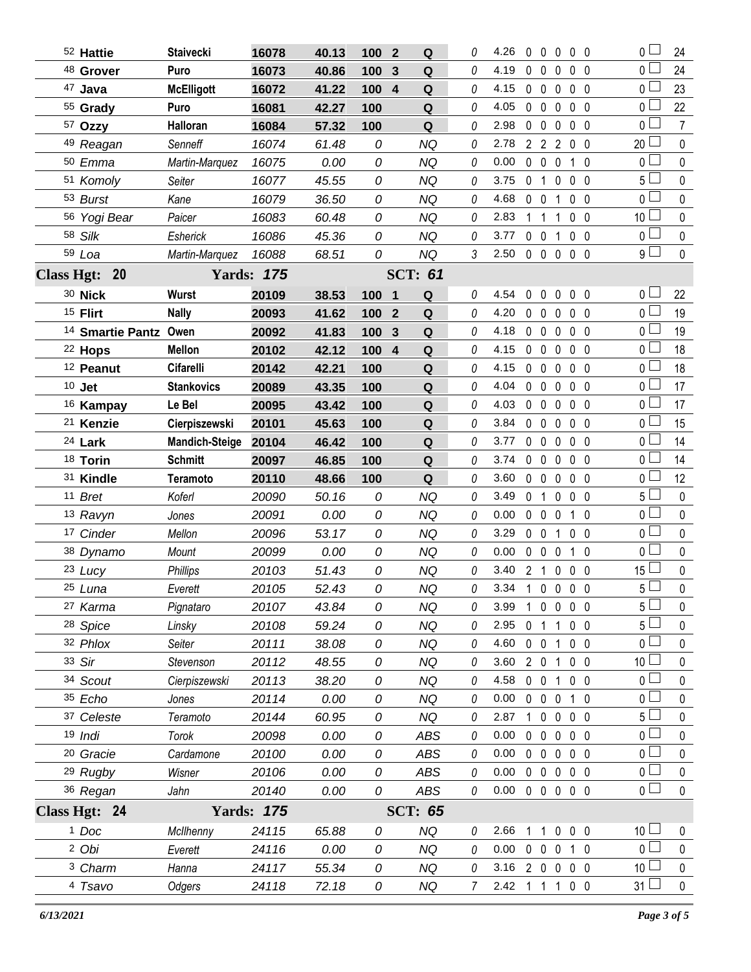| 52 Hattie                        | <b>Staivecki</b>      | 16078             | 40.13 | 100 <sub>2</sub> | Q                           | 0        | 4.26                             |                |                            | $0\;0\;0\;0\;0$   |                | $\overline{0}$    | 24             |
|----------------------------------|-----------------------|-------------------|-------|------------------|-----------------------------|----------|----------------------------------|----------------|----------------------------|-------------------|----------------|-------------------|----------------|
| <sup>48</sup> Grover             | Puro                  | 16073             | 40.86 | 100              | Q<br>3                      | 0        | 4.19                             | $\mathbf 0$    | $\mathbf 0$<br>$\mathbf 0$ |                   | 0 <sub>0</sub> | 0 <sup>1</sup>    | 24             |
| 47 Java                          | <b>McElligott</b>     | 16072             | 41.22 | 100              | $\overline{4}$<br>Q         | 0        | 4.15                             | $0\quad 0$     | $\mathbf 0$                |                   | 0 <sub>0</sub> | 0 L               | 23             |
| 55 Grady                         | Puro                  | 16081             | 42.27 | 100              | Q                           | 0        | 4.05                             | $0\quad 0$     | $\mathbf 0$                |                   | 0 <sub>0</sub> | 0 <sup>2</sup>    | 22             |
| 57 Ozzy                          | Halloran              | 16084             | 57.32 | 100              | Q                           | 0        | 2.98                             | $0\quad 0$     | $\mathbf 0$                |                   | 0 <sub>0</sub> | 0 L               | $\overline{7}$ |
| 49 Reagan                        | Senneff               | 16074             | 61.48 | 0                | <b>NQ</b>                   | 0        | 2.78                             |                | 2 2 2                      |                   | $0\quad 0$     | $20$ $-$          | $\mathbf 0$    |
| 50 Emma                          | Martin-Marquez        | 16075             | 0.00  | 0                | <b>NQ</b>                   | 0        | 0.00                             | $0\quad 0$     | $\mathbf 0$                |                   | $1\quad0$      | 0 <sup>L</sup>    | $\pmb{0}$      |
| 51 Komoly                        | Seiter                | 16077             | 45.55 | 0                | <b>NQ</b>                   | 0        | 3.75                             | 0 <sub>1</sub> | $\mathbf 0$                |                   | 0 <sub>0</sub> | 5 <sub>1</sub>    | $\mathbf 0$    |
| 53 Burst                         | Kane                  | 16079             | 36.50 | 0                | <b>NQ</b>                   | 0        | 4.68                             | $0\quad 0$     |                            | $\mathbf 1$       | 0 <sub>0</sub> | 0 <sub>0</sub>    | $\mathbf 0$    |
| 56 Yogi Bear                     | Paicer                | 16083             | 60.48 | 0                | <b>NQ</b>                   | 0        | 2.83                             | $1\quad1$      |                            | 1                 | 0 <sub>0</sub> | 10 <sup>1</sup>   | $\mathbf 0$    |
| 58 Silk                          | Esherick              | 16086             | 45.36 | 0                | <b>NQ</b>                   | 0        | 3.77                             | $0\quad 0$     |                            | 1                 | 0 <sub>0</sub> | 0 <sup>1</sup>    | $\mathbf 0$    |
| 59 Loa                           | Martin-Marquez        | 16088             | 68.51 | 0                | NQ                          | 3        | 2.50 0 0 0 0 0                   |                |                            |                   |                | $9\square$        | $\mathbf 0$    |
| Class Hgt: 20                    |                       | <b>Yards: 175</b> |       |                  | <b>SCT: 61</b>              |          |                                  |                |                            |                   |                |                   |                |
| 30 Nick                          | <b>Wurst</b>          | 20109             | 38.53 | 100 1            | Q                           | 0        | 4.54                             | $\mathbf{0}$   | $\mathbf 0$<br>$\mathbf 0$ | $0\quad 0$        |                | 0 <sub>1</sub>    | 22             |
| <sup>15</sup> Flirt              | <b>Nally</b>          | 20093             | 41.62 | 100              | Q<br>$\overline{2}$         | 0        | 4.20                             |                | $0\quad 0\quad 0$          |                   | 0 <sub>0</sub> | 0 <sub>l</sub>    | 19             |
| <sup>14</sup> Smartie Pantz Owen |                       | 20092             | 41.83 | 100              | Q<br>3                      | 0        | 4.18                             | $0\quad 0$     | $\mathbf 0$                |                   | $0\quad 0$     | 0 <sub>0</sub>    | 19             |
| <sup>22</sup> Hops               | <b>Mellon</b>         | 20102             | 42.12 | 100              | $\overline{4}$<br>${\bf Q}$ | 0        | 4.15                             | $\mathbf 0$    | $\mathbf 0$<br>$\mathbf 0$ |                   | $0\quad 0$     | 0 <sup>1</sup>    | 18             |
| <sup>12</sup> Peanut             | <b>Cifarelli</b>      | 20142             | 42.21 | 100              | ${\bf Q}$                   | 0        | 4.15                             | $0\quad 0$     | $\mathbf 0$                |                   | $0\quad 0$     | 0 <sub>0</sub>    | 18             |
| $10$ Jet                         | <b>Stankovics</b>     | 20089             | 43.35 | 100              | ${\bf Q}$                   | 0        | 4.04                             | $0\quad 0$     | $\mathbf 0$                |                   | 0 <sub>0</sub> | 0 <sup>1</sup>    | 17             |
| <sup>16</sup> Kampay             | Le Bel                | 20095             | 43.42 | 100              | Q                           | 0        | 4.03                             | $0\quad 0$     | $\mathbf 0$                |                   | $0\quad 0$     | 0 <sub>0</sub>    | 17             |
| <sup>21</sup> Kenzie             | Cierpiszewski         | 20101             | 45.63 | 100              | ${\bf Q}$                   | 0        | 3.84                             | $0\quad 0$     | $\mathbf 0$                |                   | $0\quad 0$     | 0 <sup>2</sup>    | 15             |
| 24 Lark                          | <b>Mandich-Steige</b> | 20104             | 46.42 | 100              | Q                           | 0        | 3.77                             | $0\quad 0$     | $\mathbf 0$                |                   | 0 <sub>0</sub> | 0 <sup>L</sup>    | 14             |
| 18 Torin                         | <b>Schmitt</b>        | 20097             | 46.85 | 100              | ${\bf Q}$                   | 0        | 3.74                             | $0\quad 0$     | $\mathbf 0$                |                   | $0\quad 0$     | 0 <sup>1</sup>    | 14             |
|                                  |                       |                   |       |                  |                             |          |                                  |                |                            |                   |                |                   |                |
| 31 Kindle                        | <b>Teramoto</b>       | 20110             | 48.66 | 100              | Q                           | 0        | 3.60                             | $0\quad 0$     | $\mathbf 0$                |                   | $0\quad 0$     | 0 <sub>1</sub>    | 12             |
| 11 Bret                          | Koferl                | 20090             | 50.16 | 0                | <b>NQ</b>                   | 0        | 3.49                             | 0 <sub>1</sub> | 0                          |                   | $0\quad 0$     | $5\Box$           | $\mathbf 0$    |
| 13 Ravyn                         | Jones                 | 20091             | 0.00  | 0                | <b>NQ</b>                   | 0        | 0.00                             | $0\quad 0$     | $\mathbf 0$                |                   | $1\quad0$      | 0 <sup>1</sup>    | $\mathbf 0$    |
| 17 Cinder                        | Mellon                | 20096             | 53.17 | 0                | <b>NQ</b>                   | 0        | 3.29                             | $0\quad 0$     |                            | 1                 | $0\quad 0$     | $\overline{0}$    | $\mathbf 0$    |
| 38 Dynamo                        | Mount                 | 20099             | 0.00  | 0                | <b>NQ</b>                   | 0        | 0.00                             |                | $0\quad 0\quad 0$          |                   | 1 0            | 0 <sub>0</sub>    | $\mathbf 0$    |
| 23 Lucy                          | Phillips              | 20103             | 51.43 | 0                | <b>NQ</b>                   | $\Omega$ | 3.40                             | 2 <sub>1</sub> |                            | $0\quad 0\quad 0$ |                | $15\perp$         | $\pmb{0}$      |
| 25 Luna                          | Everett               | 20105             | 52.43 | 0                | NQ                          | 0        | 3.34 1 0 0 0 0                   |                |                            |                   |                | 5 <sup>1</sup>    | $\mathbf 0$    |
| 27 Karma                         | Pignataro             | 20107             | 43.84 | 0                | NQ                          | 0        | 3.99                             |                |                            | 1 0 0 0 0         |                | $5 \Box$          | $\mathbf 0$    |
| <sup>28</sup> Spice              | Linsky                | 20108             | 59.24 | 0                | <b>NQ</b>                   | 0        | 2.95                             | 0 <sub>1</sub> |                            | $\mathbf{1}$      | $0\quad 0$     | 5 l               | 0              |
| 32 Phlox                         | Seiter                | 20111             | 38.08 | 0                | NQ                          | 0        | 4.60                             |                | $0 \t0 \t1$                |                   | $0\quad 0$     | 0 <sub>1</sub>    | $\pmb{0}$      |
| 33 Sir                           | Stevenson             | 20112             | 48.55 | 0                | <b>NQ</b>                   | 0        | 3.60                             |                |                            | 2 0 1 0 0         |                | 10 <sup>2</sup>   | $\mathbf 0$    |
| 34 Scout                         | Cierpiszewski         | 20113             | 38.20 | 0                | <b>NQ</b>                   | 0        | 4.58                             |                |                            | 0 0 1 0 0         |                | 0 <sub>l</sub>    | $\pmb{0}$      |
| 35 Echo                          | Jones                 | 20114             | 0.00  | 0                | <b>NQ</b>                   | 0        | 0.00                             |                | $0\quad 0\quad 0$          |                   | 10             | 0 L               | 0              |
| 37 Celeste                       | Teramoto              | 20144             | 60.95 | 0                | <b>NQ</b>                   | 0        | 2.87                             |                |                            | 1 0 0 0 0         |                | 5 <sup>L</sup>    | $\pmb{0}$      |
| 19 Indi                          | Torok                 | 20098             | 0.00  | 0                | <b>ABS</b>                  | 0        | 0.00                             | $0\quad 0$     |                            | $0\quad 0\quad 0$ |                | 0 <sub>0</sub>    | 0              |
| <sup>20</sup> Gracie             | Cardamone             | 20100             | 0.00  | 0                | ABS                         | 0        | 0.00                             |                |                            | 00000             |                | 0 <sub>l</sub>    | $\pmb{0}$      |
| <sup>29</sup> Rugby              | Wisner                | 20106             | 0.00  | 0                | ABS                         | 0        | 0.00                             |                |                            | 00000             |                | 0 <sub>0</sub>    | 0              |
| 36 Regan                         | Jahn                  | 20140             | 0.00  | 0                | ABS                         | 0        | $0.00 \t0 \t0 \t0 \t0 \t0$       |                |                            |                   |                | $\overline{0}$    | $\mathbf 0$    |
| Class Hgt: 24                    |                       | <b>Yards: 175</b> |       |                  | <b>SCT: 65</b>              |          |                                  |                |                            |                   |                |                   |                |
| <sup>1</sup> Doc                 | McIlhenny             | 24115             | 65.88 | 0                | <b>NQ</b>                   | 0        | 2.66                             |                |                            | 1 1 0 0 0         |                | 10 <sup>1</sup>   | 0              |
| 2 Obi                            | Everett               | 24116             | 0.00  | 0                | <b>NQ</b>                   | 0        | 0.00                             |                |                            | 0 0 0 1 0         |                | 0 <sub>1</sub>    | $\pmb{0}$      |
| <sup>3</sup> Charm               | Hanna                 | 24117             | 55.34 | 0                | NQ                          | 0        | 3.16 2 0 0 0 0<br>2.42 1 1 1 0 0 |                |                            |                   |                | 10 L<br>$31 \Box$ | 0<br>$\pmb{0}$ |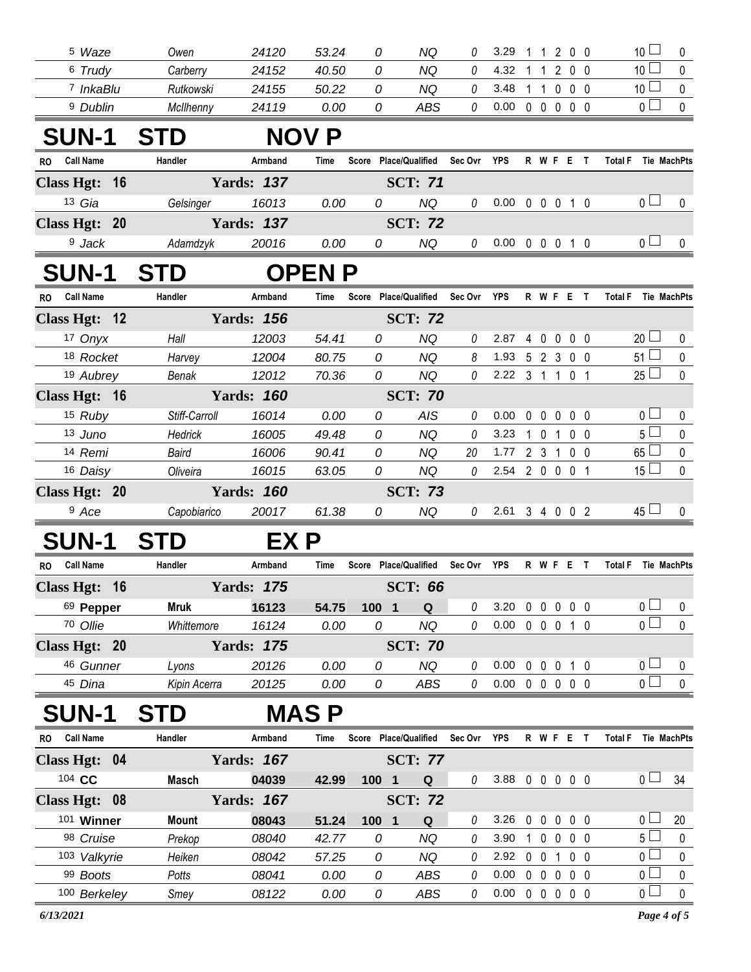| <sup>5</sup> Waze             | Owen          | 24120             | 53.24        | 0                              | ΝQ             |             | 3.29                       |            | 1 1 2 0 0        |                   |                |                     | $10$ $\Box$                      | 0                      |
|-------------------------------|---------------|-------------------|--------------|--------------------------------|----------------|-------------|----------------------------|------------|------------------|-------------------|----------------|---------------------|----------------------------------|------------------------|
| 6 Trudy                       | Carberry      | 24152             | 40.50        | 0                              | NQ             | 0           | 4.32                       |            | $1\quad1$        | 2 0 0             |                |                     | 10 <sup>1</sup>                  | 0                      |
| <sup>7</sup> InkaBlu          | Rutkowski     | 24155             | 50.22        | 0                              | <b>NQ</b>      | 0           | 3.48                       |            | 1 1 0 0 0        |                   |                |                     | 10 <sup>1</sup>                  | 0                      |
| <sup>9</sup> Dublin           | McIlhenny     | 24119             | 0.00         | 0                              | <b>ABS</b>     | 0           | 0.00                       |            | 00000            |                   |                |                     | $\overline{0}$                   | $\mathbf 0$            |
| <b>SUN-1</b>                  | <b>STD</b>    |                   | <b>NOV P</b> |                                |                |             |                            |            |                  |                   |                |                     |                                  |                        |
| <b>Call Name</b><br>RO.       | Handler       | Armband           | Time         | Score Place/Qualified          |                | Sec Ovr     | YPS                        |            | <b>R W F E T</b> |                   |                | <b>Total F</b>      | Tie MachPts                      |                        |
| Class Hgt: 16                 |               | <b>Yards: 137</b> |              |                                | <b>SCT: 71</b> |             |                            |            |                  |                   |                |                     |                                  |                        |
| 13 Gia                        | Gelsinger     | 16013             | 0.00         | 0                              | NQ             | 0           | 0.00                       |            | 0 0 0 1 0        |                   |                |                     | 0 <sub>1</sub>                   | 0                      |
| Class Hgt: 20                 |               | <b>Yards: 137</b> |              |                                | <b>SCT: 72</b> |             |                            |            |                  |                   |                |                     |                                  |                        |
| <sup>9</sup> Jack             | Adamdzyk      | 20016             | 0.00         | 0                              | <b>NQ</b>      | 0           | $0.00 \t0 \t0 \t0 \t1 \t0$ |            |                  |                   |                |                     | 0 <sub>1</sub>                   | 0                      |
| <b>SUN-1</b>                  | <b>STD</b>    |                   | <b>OPENP</b> |                                |                |             |                            |            |                  |                   |                |                     |                                  |                        |
| <b>Call Name</b><br>RO.       | Handler       | Armband           | Time         | Score Place/Qualified          |                | Sec Ovr YPS |                            |            | R W F E T        |                   |                | <b>Total F</b>      | Tie MachPts                      |                        |
| Class Hgt: 12                 |               | <b>Yards: 156</b> |              |                                | <b>SCT: 72</b> |             |                            |            |                  |                   |                |                     |                                  |                        |
| 17 Onyx                       | Hall          | 12003             | 54.41        | 0                              | <b>NQ</b>      | 0           | 2.87                       |            | 4 0 0 0 0        |                   |                |                     | $20 \Box$                        | 0                      |
| 18 Rocket                     | Harvey        | 12004             | 80.75        | 0                              | NQ             | 8           | 1.93 5 2 3 0 0             |            |                  |                   |                |                     | $51 \Box$                        | $\mathbf 0$            |
| 19 Aubrey                     | Benak         | 12012             | 70.36        | 0                              | <b>NQ</b>      | $\theta$    | 2.22 3 1 1 0 1             |            |                  |                   |                |                     | $25 \Box$                        | 0                      |
| Class Hgt: 16                 |               | <b>Yards: 160</b> |              |                                | <b>SCT: 70</b> |             |                            |            |                  |                   |                |                     |                                  |                        |
| 15 Ruby                       | Stiff-Carroll | 16014             | 0.00         | 0                              | AIS            | 0           | 0.00                       |            | $0\quad 0$       | $\mathbf 0$       | $0\quad 0$     |                     | 0 <sub>0</sub>                   | 0                      |
| 13 Juno                       | Hedrick       | 16005             | 49.48        | 0                              | <b>NQ</b>      | 0           | 3.23                       |            | 1 0 1 0 0        |                   |                |                     | $5\Box$                          | 0                      |
| 14 Remi                       | Baird         | 16006             | 90.41        | 0                              | <b>NQ</b>      | 20          | 1.77                       |            | $2 \t3 \t1$      |                   | $0\quad 0$     |                     | $65 \Box$                        | $\mathbf 0$            |
| 16 Daisy                      | Oliveira      | 16015             | 63.05        | 0                              | <b>NQ</b>      | 0           | 2.54                       |            | 2 0 0 0 1        |                   |                |                     | $15 \Box$                        | 0                      |
| Class Hgt: 20                 |               | <b>Yards: 160</b> |              |                                | <b>SCT: 73</b> |             |                            |            |                  |                   |                |                     |                                  |                        |
| <sup>9</sup> Ace              | Capobiarico   | 20017             | 61.38        | 0                              | <b>NQ</b>      | $\theta$    | 2.61 3 4 0 0 2             |            |                  |                   |                |                     | $45 \Box$                        | 0                      |
| <b>SUN-1</b>                  | <b>STD</b>    | EX P              |              |                                |                |             |                            |            |                  |                   |                |                     |                                  |                        |
| <b>Call Name</b><br>RO.       | Handler       | Armband           | Time         | Score Place/Qualified          |                | Sec Ovr YPS |                            |            | R W F E T        |                   |                | Total F Tie MachPts |                                  |                        |
| Class Hgt: 16                 |               | <b>Yards: 175</b> |              |                                | <b>SCT: 66</b> |             |                            |            |                  |                   |                |                     |                                  |                        |
| 69 Pepper                     | <b>Mruk</b>   | 16123             | 54.75        | 100 1                          | ${\bf Q}$      | 0           | 3.20                       | 0          | $\mathbf 0$      | $0\quad 0\quad 0$ |                |                     | $\overline{0}$                   | 0                      |
| 70 Ollie                      | Whittemore    | 16124             | 0.00         | 0                              | <b>NQ</b>      | 0           | 0.00                       |            | $0\quad 0$       | $\mathbf 0$       | 1 0            |                     | $\overline{0}$                   | $\mathbf 0$            |
| Class Hgt: 20                 |               | <b>Yards: 175</b> |              |                                | <b>SCT: 70</b> |             |                            |            |                  |                   |                |                     |                                  |                        |
| 46 Gunner                     | Lyons         | 20126             | 0.00         | 0                              | <b>NQ</b>      | 0           | 0.00                       |            | $0\quad 0$       | $\mathbf 0$       | 1 0            |                     | 0 <sup>2</sup>                   | 0                      |
| 45 Dina                       | Kipin Acerra  | 20125             | 0.00         | 0                              | ABS            | 0           | $0.00 \t0 \t0 \t0 \t0 \t0$ |            |                  |                   |                |                     | $\overline{0}$                   | $\pmb{0}$              |
| <b>SUN-1</b>                  | <b>STD</b>    |                   | <b>MASP</b>  |                                |                |             |                            |            |                  |                   |                |                     |                                  |                        |
| <b>Call Name</b><br><b>RO</b> | Handler       | Armband           | Time         | Score Place/Qualified          |                | Sec Ovr YPS |                            |            | R W F E T        |                   |                | Total F Tie MachPts |                                  |                        |
| Class Hgt: 04                 |               | <b>Yards: 167</b> |              |                                | <b>SCT: 77</b> |             |                            |            |                  |                   |                |                     |                                  |                        |
| 104 CC                        | <b>Masch</b>  | 04039             | 42.99        | 100 1                          | Q              | 0           | 3.88                       |            | $0\quad 0$       | $0\quad 0\quad 0$ |                |                     | 0 <sub>l</sub>                   | 34                     |
| Class Hgt: 08                 |               | <b>Yards: 167</b> |              |                                | <b>SCT: 72</b> |             |                            |            |                  |                   |                |                     |                                  |                        |
| 101 Winner                    | <b>Mount</b>  | 08043             | 51.24        | 100<br>$\overline{\mathbf{1}}$ | ${\bf Q}$      | 0           | 3.26                       | 0          | $\overline{0}$   | $\mathbf 0$       | 0 <sub>0</sub> |                     | 0 <sub>0</sub>                   | 20                     |
| 98 Cruise                     | Prekop        | 08040             | 42.77        | 0                              | NQ             | 0           | 3.90                       |            | $1\quad 0$       | $\mathbf 0$       | 0 <sub>0</sub> |                     | 5 <sup>1</sup>                   | $\pmb{0}$              |
| 103 Valkyrie                  | Heiken        | 08042             | 57.25        | 0                              | <b>NQ</b>      | 0           | 2.92                       | $0\quad 0$ |                  | $\mathbf{1}$      | $0\quad 0$     |                     | 0 <sub>0</sub>                   | $\pmb{0}$              |
| 99 Boots                      | Potts         | 08041<br>08122    | 0.00         | 0                              | ABS            | 0           | 0.00<br>0.00               |            | $0\quad 0$       | $\mathbf 0$       | $0\quad 0$     |                     | $\overline{0}$<br>$\overline{0}$ | $\pmb{0}$<br>$\pmb{0}$ |
| 100 Berkeley                  | Smey          |                   | 0.00         | 0                              | ABS            | 0           |                            |            |                  | 0 0 0 0 0         |                |                     |                                  |                        |